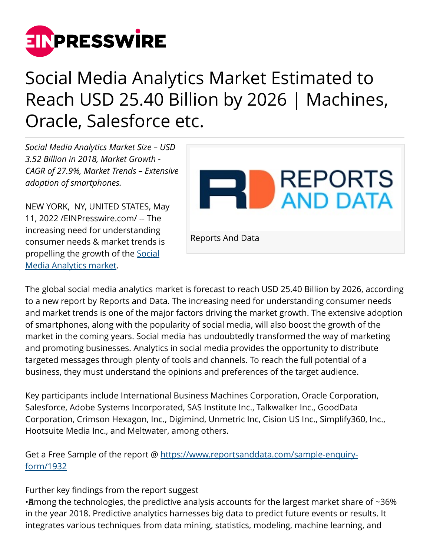

## Social Media Analytics Market Estimated to Reach USD 25.40 Billion by 2026 | Machines, Oracle, Salesforce etc.

*Social Media Analytics Market Size – USD 3.52 Billion in 2018, Market Growth - CAGR of 27.9%, Market Trends – Extensive adoption of smartphones.*

NEW YORK, NY, UNITED STATES, May 11, 2022 /[EINPresswire.com/](http://www.einpresswire.com) -- The increasing need for understanding consumer needs & market trends is propelling the growth of the [Social](https://www.reportsanddata.com/report-detail/social-media-analytics-market) [Media Analytics market.](https://www.reportsanddata.com/report-detail/social-media-analytics-market)



The global social media analytics market is forecast to reach USD 25.40 Billion by 2026, according to a new report by Reports and Data. The increasing need for understanding consumer needs and market trends is one of the major factors driving the market growth. The extensive adoption of smartphones, along with the popularity of social media, will also boost the growth of the market in the coming years. Social media has undoubtedly transformed the way of marketing and promoting businesses. Analytics in social media provides the opportunity to distribute targeted messages through plenty of tools and channels. To reach the full potential of a business, they must understand the opinions and preferences of the target audience.

Key participants include International Business Machines Corporation, Oracle Corporation, Salesforce, Adobe Systems Incorporated, SAS Institute Inc., Talkwalker Inc., GoodData Corporation, Crimson Hexagon, Inc., Digimind, Unmetric Inc, Cision US Inc., Simplify360, Inc., Hootsuite Media Inc., and Meltwater, among others.

Get a Free Sample of the report @ [https://www.reportsanddata.com/sample-enquiry](https://www.reportsanddata.com/sample-enquiry-form/1932)[form/1932](https://www.reportsanddata.com/sample-enquiry-form/1932)

## Further key findings from the report suggest

• Among the technologies, the predictive analysis accounts for the largest market share of ~36% in the year 2018. Predictive analytics harnesses big data to predict future events or results. It integrates various techniques from data mining, statistics, modeling, machine learning, and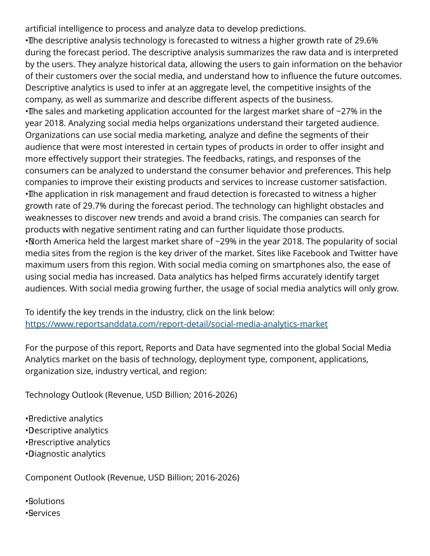artificial intelligence to process and analyze data to develop predictions.

• The descriptive analysis technology is forecasted to witness a higher growth rate of 29.6% during the forecast period. The descriptive analysis summarizes the raw data and is interpreted by the users. They analyze historical data, allowing the users to gain information on the behavior of their customers over the social media, and understand how to influence the future outcomes. Descriptive analytics is used to infer at an aggregate level, the competitive insights of the company, as well as summarize and describe different aspects of the business.  $\cdot$ The sales and marketing application accounted for the largest market share of  $\sim$ 27% in the year 2018. Analyzing social media helps organizations understand their targeted audience. Organizations can use social media marketing, analyze and define the segments of their audience that were most interested in certain types of products in order to offer insight and more effectively support their strategies. The feedbacks, ratings, and responses of the consumers can be analyzed to understand the consumer behavior and preferences. This help companies to improve their existing products and services to increase customer satisfaction. • The application in risk management and fraud detection is forecasted to witness a higher growth rate of 29.7% during the forecast period. The technology can highlight obstacles and weaknesses to discover new trends and avoid a brand crisis. The companies can search for products with negative sentiment rating and can further liquidate those products. • North America held the largest market share of ~29% in the year 2018. The popularity of social media sites from the region is the key driver of the market. Sites like Facebook and Twitter have maximum users from this region. With social media coming on smartphones also, the ease of using social media has increased. Data analytics has helped firms accurately identify target audiences. With social media growing further, the usage of social media analytics will only grow.

To identify the key trends in the industry, click on the link below: <https://www.reportsanddata.com/report-detail/social-media-analytics-market>

For the purpose of this report, Reports and Data have segmented into the global Social Media Analytics market on the basis of technology, deployment type, component, applications, organization size, industry vertical, and region:

Technology Outlook (Revenue, USD Billion; 2016-2026)

- • Predictive analytics
- • Descriptive analytics
- • Prescriptive analytics
- • Diagnostic analytics

Component Outlook (Revenue, USD Billion; 2016-2026)

• Solutions • Services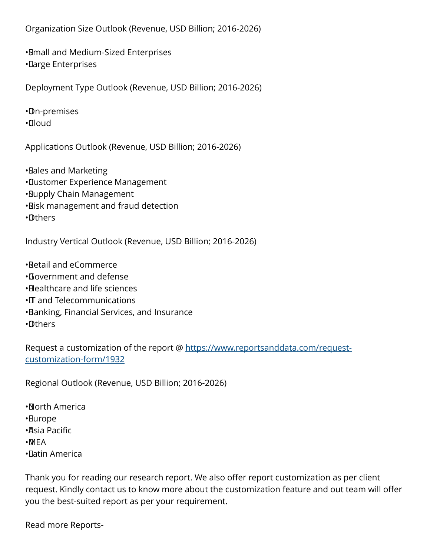Organization Size Outlook (Revenue, USD Billion; 2016-2026)

• Small and Medium-Sized Enterprises • Large Enterprises

Deployment Type Outlook (Revenue, USD Billion; 2016-2026)

• On-premises

• Cloud

Applications Outlook (Revenue, USD Billion; 2016-2026)

• Sales and Marketing

- • Customer Experience Management
- • Supply Chain Management
- • Risk management and fraud detection
- • Others

Industry Vertical Outlook (Revenue, USD Billion; 2016-2026)

• Retail and eCommerce

- • Government and defense
- • Healthcare and life sciences
- • IT and Telecommunications
- • Banking, Financial Services, and Insurance
- • Others

Request a customization of the report @ [https://www.reportsanddata.com/request](https://www.reportsanddata.com/request-customization-form/1932)[customization-form/1932](https://www.reportsanddata.com/request-customization-form/1932)

Regional Outlook (Revenue, USD Billion; 2016-2026)

- • North America
- • Europe
- • Asia Pacific
- • MEA
- • Latin America

Thank you for reading our research report. We also offer report customization as per client request. Kindly contact us to know more about the customization feature and out team will offer you the best-suited report as per your requirement.

Read more Reports-